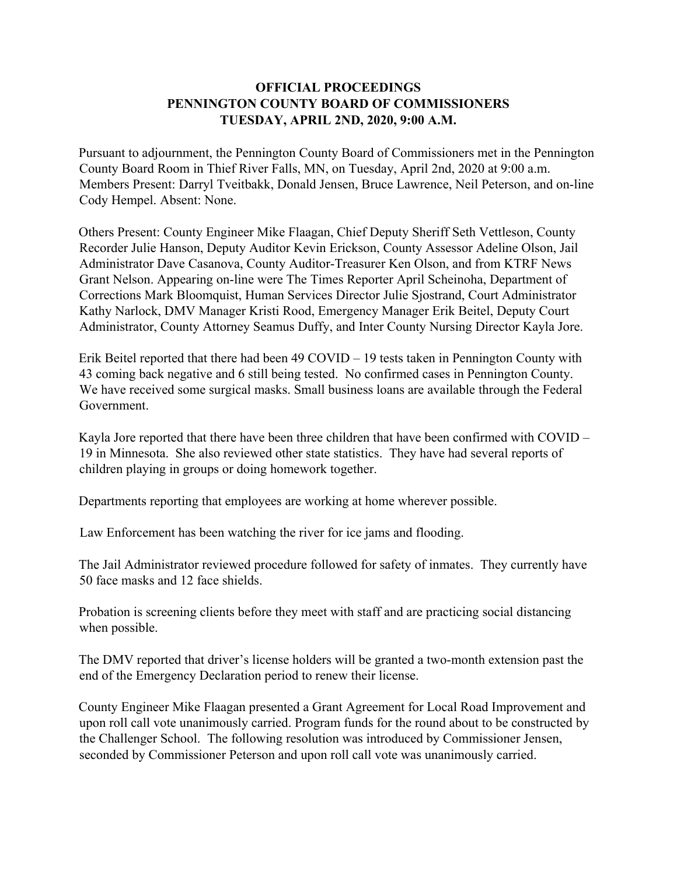## **OFFICIAL PROCEEDINGS PENNINGTON COUNTY BOARD OF COMMISSIONERS TUESDAY, APRIL 2ND, 2020, 9:00 A.M.**

Pursuant to adjournment, the Pennington County Board of Commissioners met in the Pennington County Board Room in Thief River Falls, MN, on Tuesday, April 2nd, 2020 at 9:00 a.m. Members Present: Darryl Tveitbakk, Donald Jensen, Bruce Lawrence, Neil Peterson, and on-line Cody Hempel. Absent: None.

Others Present: County Engineer Mike Flaagan, Chief Deputy Sheriff Seth Vettleson, County Recorder Julie Hanson, Deputy Auditor Kevin Erickson, County Assessor Adeline Olson, Jail Administrator Dave Casanova, County Auditor-Treasurer Ken Olson, and from KTRF News Grant Nelson. Appearing on-line were The Times Reporter April Scheinoha, Department of Corrections Mark Bloomquist, Human Services Director Julie Sjostrand, Court Administrator Kathy Narlock, DMV Manager Kristi Rood, Emergency Manager Erik Beitel, Deputy Court Administrator, County Attorney Seamus Duffy, and Inter County Nursing Director Kayla Jore.

Erik Beitel reported that there had been 49 COVID – 19 tests taken in Pennington County with 43 coming back negative and 6 still being tested. No confirmed cases in Pennington County. We have received some surgical masks. Small business loans are available through the Federal Government.

Kayla Jore reported that there have been three children that have been confirmed with COVID – 19 in Minnesota. She also reviewed other state statistics. They have had several reports of children playing in groups or doing homework together.

Departments reporting that employees are working at home wherever possible.

Law Enforcement has been watching the river for ice jams and flooding.

The Jail Administrator reviewed procedure followed for safety of inmates. They currently have 50 face masks and 12 face shields.

Probation is screening clients before they meet with staff and are practicing social distancing when possible.

The DMV reported that driver's license holders will be granted a two-month extension past the end of the Emergency Declaration period to renew their license.

County Engineer Mike Flaagan presented a Grant Agreement for Local Road Improvement and upon roll call vote unanimously carried. Program funds for the round about to be constructed by the Challenger School. The following resolution was introduced by Commissioner Jensen, seconded by Commissioner Peterson and upon roll call vote was unanimously carried.